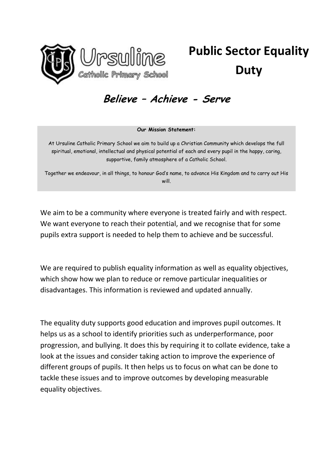

# **Public Sector Equality Duty**

## **Believe – Achieve - Serve**

#### **Our Mission Statement:**

At Ursuline Catholic Primary School we aim to build up a Christian Community which develops the full spiritual, emotional, intellectual and physical potential of each and every pupil in the happy, caring, supportive, family atmosphere of a Catholic School.

Together we endeavour, in all things, to honour God's name, to advance His Kingdom and to carry out His will.

We aim to be a community where everyone is treated fairly and with respect. We want everyone to reach their potential, and we recognise that for some pupils extra support is needed to help them to achieve and be successful.

We are required to publish equality information as well as equality objectives, which show how we plan to reduce or remove particular inequalities or disadvantages. This information is reviewed and updated annually.

The equality duty supports good education and improves pupil outcomes. It helps us as a school to identify priorities such as underperformance, poor progression, and bullying. It does this by requiring it to collate evidence, take a look at the issues and consider taking action to improve the experience of different groups of pupils. It then helps us to focus on what can be done to tackle these issues and to improve outcomes by developing measurable equality objectives.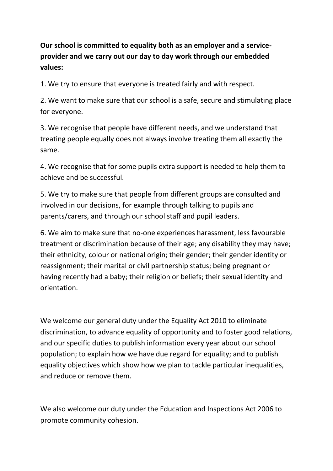**Our school is committed to equality both as an employer and a serviceprovider and we carry out our day to day work through our embedded values:**

1. We try to ensure that everyone is treated fairly and with respect.

2. We want to make sure that our school is a safe, secure and stimulating place for everyone.

3. We recognise that people have different needs, and we understand that treating people equally does not always involve treating them all exactly the same.

4. We recognise that for some pupils extra support is needed to help them to achieve and be successful.

5. We try to make sure that people from different groups are consulted and involved in our decisions, for example through talking to pupils and parents/carers, and through our school staff and pupil leaders.

6. We aim to make sure that no-one experiences harassment, less favourable treatment or discrimination because of their age; any disability they may have; their ethnicity, colour or national origin; their gender; their gender identity or reassignment; their marital or civil partnership status; being pregnant or having recently had a baby; their religion or beliefs; their sexual identity and orientation.

We welcome our general duty under the Equality Act 2010 to eliminate discrimination, to advance equality of opportunity and to foster good relations, and our specific duties to publish information every year about our school population; to explain how we have due regard for equality; and to publish equality objectives which show how we plan to tackle particular inequalities, and reduce or remove them.

We also welcome our duty under the Education and Inspections Act 2006 to promote community cohesion.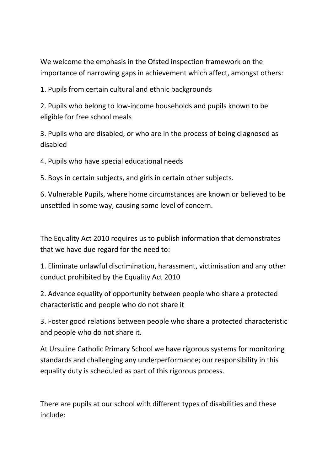We welcome the emphasis in the Ofsted inspection framework on the importance of narrowing gaps in achievement which affect, amongst others:

1. Pupils from certain cultural and ethnic backgrounds

2. Pupils who belong to low-income households and pupils known to be eligible for free school meals

3. Pupils who are disabled, or who are in the process of being diagnosed as disabled

4. Pupils who have special educational needs

5. Boys in certain subjects, and girls in certain other subjects.

6. Vulnerable Pupils, where home circumstances are known or believed to be unsettled in some way, causing some level of concern.

The Equality Act 2010 requires us to publish information that demonstrates that we have due regard for the need to:

1. Eliminate unlawful discrimination, harassment, victimisation and any other conduct prohibited by the Equality Act 2010

2. Advance equality of opportunity between people who share a protected characteristic and people who do not share it

3. Foster good relations between people who share a protected characteristic and people who do not share it.

At Ursuline Catholic Primary School we have rigorous systems for monitoring standards and challenging any underperformance; our responsibility in this equality duty is scheduled as part of this rigorous process.

There are pupils at our school with different types of disabilities and these include: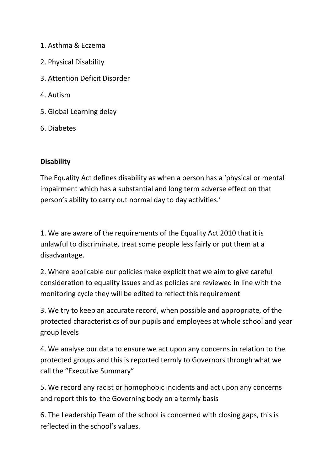- 1. Asthma & Eczema
- 2. Physical Disability
- 3. Attention Deficit Disorder
- 4. Autism
- 5. Global Learning delay
- 6. Diabetes

### **Disability**

The Equality Act defines disability as when a person has a 'physical or mental impairment which has a substantial and long term adverse effect on that person's ability to carry out normal day to day activities.'

1. We are aware of the requirements of the Equality Act 2010 that it is unlawful to discriminate, treat some people less fairly or put them at a disadvantage.

2. Where applicable our policies make explicit that we aim to give careful consideration to equality issues and as policies are reviewed in line with the monitoring cycle they will be edited to reflect this requirement

3. We try to keep an accurate record, when possible and appropriate, of the protected characteristics of our pupils and employees at whole school and year group levels

4. We analyse our data to ensure we act upon any concerns in relation to the protected groups and this is reported termly to Governors through what we call the "Executive Summary"

5. We record any racist or homophobic incidents and act upon any concerns and report this to the Governing body on a termly basis

6. The Leadership Team of the school is concerned with closing gaps, this is reflected in the school's values.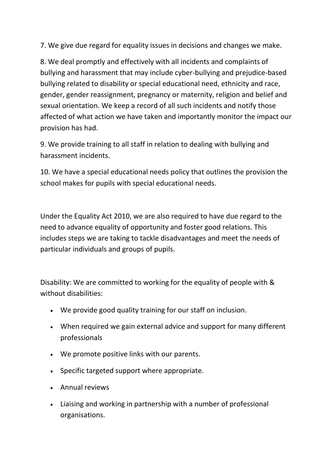7. We give due regard for equality issues in decisions and changes we make.

8. We deal promptly and effectively with all incidents and complaints of bullying and harassment that may include cyber-bullying and prejudice-based bullying related to disability or special educational need, ethnicity and race, gender, gender reassignment, pregnancy or maternity, religion and belief and sexual orientation. We keep a record of all such incidents and notify those affected of what action we have taken and importantly monitor the impact our provision has had.

9. We provide training to all staff in relation to dealing with bullying and harassment incidents.

10. We have a special educational needs policy that outlines the provision the school makes for pupils with special educational needs.

Under the Equality Act 2010, we are also required to have due regard to the need to advance equality of opportunity and foster good relations. This includes steps we are taking to tackle disadvantages and meet the needs of particular individuals and groups of pupils.

Disability: We are committed to working for the equality of people with & without disabilities:

- We provide good quality training for our staff on inclusion.
- When required we gain external advice and support for many different professionals
- We promote positive links with our parents.
- Specific targeted support where appropriate.
- Annual reviews
- Liaising and working in partnership with a number of professional organisations.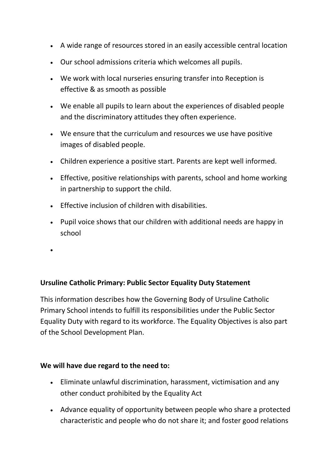- A wide range of resources stored in an easily accessible central location
- Our school admissions criteria which welcomes all pupils.
- We work with local nurseries ensuring transfer into Reception is effective & as smooth as possible
- We enable all pupils to learn about the experiences of disabled people and the discriminatory attitudes they often experience.
- We ensure that the curriculum and resources we use have positive images of disabled people.
- Children experience a positive start. Parents are kept well informed.
- Effective, positive relationships with parents, school and home working in partnership to support the child.
- **Effective inclusion of children with disabilities.**
- Pupil voice shows that our children with additional needs are happy in school
- $\bullet$

#### **Ursuline Catholic Primary: Public Sector Equality Duty Statement**

This information describes how the Governing Body of Ursuline Catholic Primary School intends to fulfill its responsibilities under the Public Sector Equality Duty with regard to its workforce. The Equality Objectives is also part of the School Development Plan.

#### **We will have due regard to the need to:**

- Eliminate unlawful discrimination, harassment, victimisation and any other conduct prohibited by the Equality Act
- Advance equality of opportunity between people who share a protected characteristic and people who do not share it; and foster good relations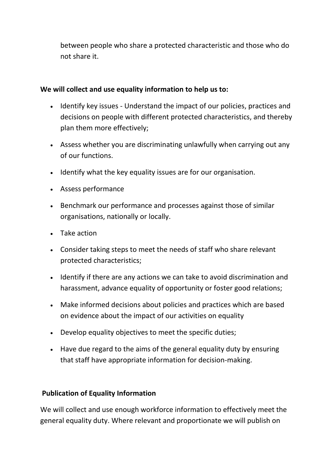between people who share a protected characteristic and those who do not share it.

#### **We will collect and use equality information to help us to:**

- Identify key issues Understand the impact of our policies, practices and decisions on people with different protected characteristics, and thereby plan them more effectively;
- Assess whether you are discriminating unlawfully when carrying out any of our functions.
- Identify what the key equality issues are for our organisation.
- Assess performance
- Benchmark our performance and processes against those of similar organisations, nationally or locally.
- Take action
- Consider taking steps to meet the needs of staff who share relevant protected characteristics;
- Identify if there are any actions we can take to avoid discrimination and harassment, advance equality of opportunity or foster good relations;
- Make informed decisions about policies and practices which are based on evidence about the impact of our activities on equality
- Develop equality objectives to meet the specific duties;
- Have due regard to the aims of the general equality duty by ensuring that staff have appropriate information for decision-making.

#### **Publication of Equality Information**

We will collect and use enough workforce information to effectively meet the general equality duty. Where relevant and proportionate we will publish on